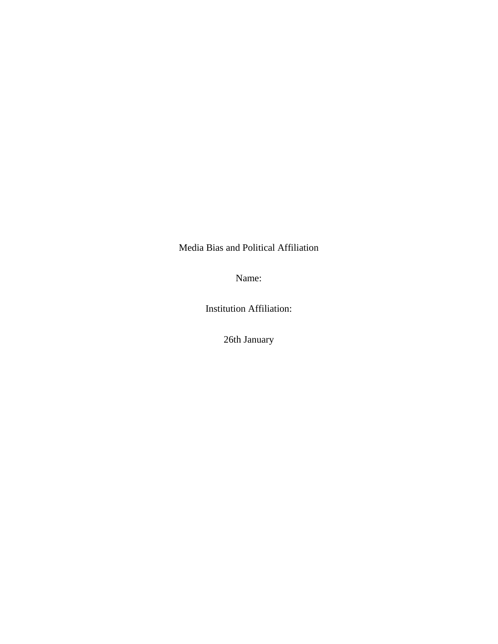Media Bias and Political Affiliation

Name:

Institution Affiliation:

26th January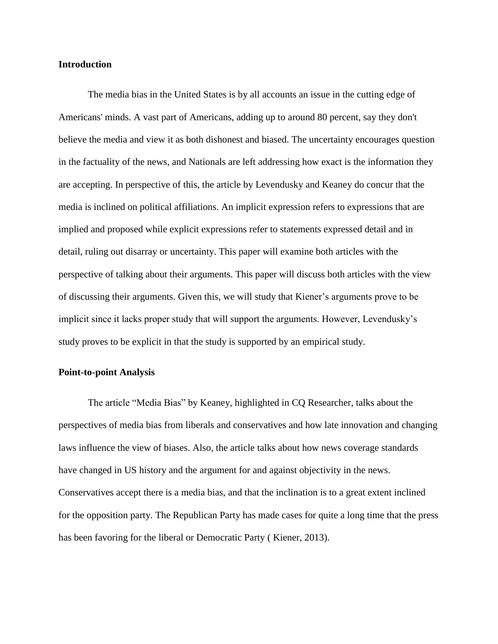## **Introduction**

The media bias in the United States is by all accounts an issue in the cutting edge of Americans' minds. A vast part of Americans, adding up to around 80 percent, say they don't believe the media and view it as both dishonest and biased. The uncertainty encourages question in the factuality of the news, and Nationals are left addressing how exact is the information they are accepting. In perspective of this, the article by Levendusky and Keaney do concur that the media is inclined on political affiliations. An implicit expression refers to expressions that are implied and proposed while explicit expressions refer to statements expressed detail and in detail, ruling out disarray or uncertainty. This paper will examine both articles with the perspective of talking about their arguments. This paper will discuss both articles with the view of discussing their arguments. Given this, we will study that Kiener's arguments prove to be implicit since it lacks proper study that will support the arguments. However, Levendusky's study proves to be explicit in that the study is supported by an empirical study.

## **Point-to-point Analysis**

The article "Media Bias" by Keaney, highlighted in CQ Researcher, talks about the perspectives of media bias from liberals and conservatives and how late innovation and changing laws influence the view of biases. Also, the article talks about how news coverage standards have changed in US history and the argument for and against objectivity in the news. Conservatives accept there is a media bias, and that the inclination is to a great extent inclined for the opposition party. The Republican Party has made cases for quite a long time that the press has been favoring for the liberal or Democratic Party ( Kiener, 2013).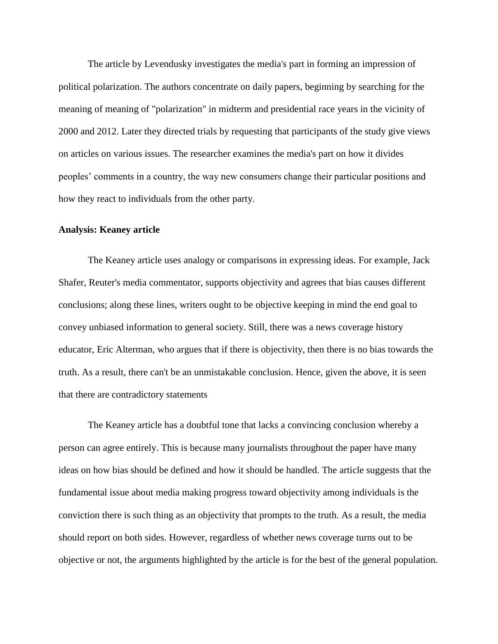The article by Levendusky investigates the media's part in forming an impression of political polarization. The authors concentrate on daily papers, beginning by searching for the meaning of meaning of "polarization" in midterm and presidential race years in the vicinity of 2000 and 2012. Later they directed trials by requesting that participants of the study give views on articles on various issues. The researcher examines the media's part on how it divides peoples' comments in a country, the way new consumers change their particular positions and how they react to individuals from the other party.

## **Analysis: Keaney article**

The Keaney article uses analogy or comparisons in expressing ideas. For example, Jack Shafer, Reuter's media commentator, supports objectivity and agrees that bias causes different conclusions; along these lines, writers ought to be objective keeping in mind the end goal to convey unbiased information to general society. Still, there was a news coverage history educator, Eric Alterman, who argues that if there is objectivity, then there is no bias towards the truth. As a result, there can't be an unmistakable conclusion. Hence, given the above, it is seen that there are contradictory statements

The Keaney article has a doubtful tone that lacks a convincing conclusion whereby a person can agree entirely. This is because many journalists throughout the paper have many ideas on how bias should be defined and how it should be handled. The article suggests that the fundamental issue about media making progress toward objectivity among individuals is the conviction there is such thing as an objectivity that prompts to the truth. As a result, the media should report on both sides. However, regardless of whether news coverage turns out to be objective or not, the arguments highlighted by the article is for the best of the general population.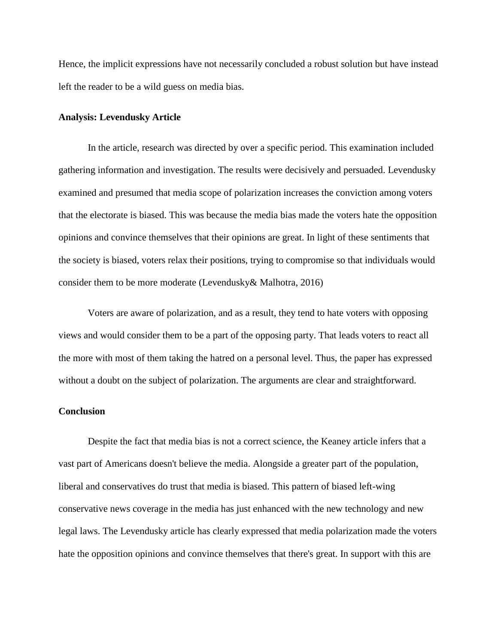Hence, the implicit expressions have not necessarily concluded a robust solution but have instead left the reader to be a wild guess on media bias.

#### **Analysis: Levendusky Article**

In the article, research was directed by over a specific period. This examination included gathering information and investigation. The results were decisively and persuaded. Levendusky examined and presumed that media scope of polarization increases the conviction among voters that the electorate is biased. This was because the media bias made the voters hate the opposition opinions and convince themselves that their opinions are great. In light of these sentiments that the society is biased, voters relax their positions, trying to compromise so that individuals would consider them to be more moderate (Levendusky& Malhotra, 2016)

Voters are aware of polarization, and as a result, they tend to hate voters with opposing views and would consider them to be a part of the opposing party. That leads voters to react all the more with most of them taking the hatred on a personal level. Thus, the paper has expressed without a doubt on the subject of polarization. The arguments are clear and straightforward.

## **Conclusion**

Despite the fact that media bias is not a correct science, the Keaney article infers that a vast part of Americans doesn't believe the media. Alongside a greater part of the population, liberal and conservatives do trust that media is biased. This pattern of biased left-wing conservative news coverage in the media has just enhanced with the new technology and new legal laws. The Levendusky article has clearly expressed that media polarization made the voters hate the opposition opinions and convince themselves that there's great. In support with this are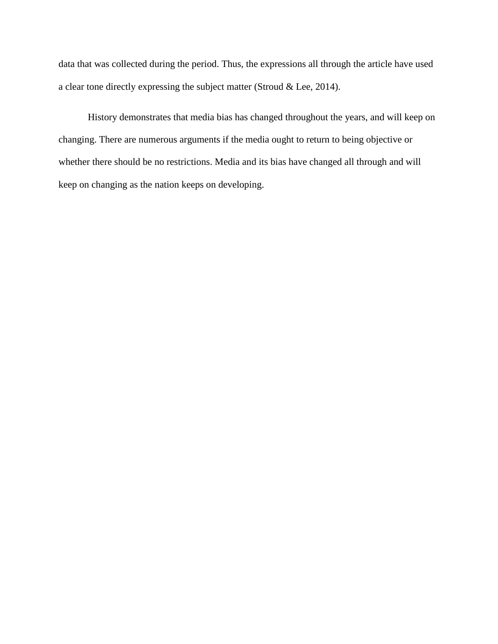data that was collected during the period. Thus, the expressions all through the article have used a clear tone directly expressing the subject matter (Stroud & Lee, 2014).

History demonstrates that media bias has changed throughout the years, and will keep on changing. There are numerous arguments if the media ought to return to being objective or whether there should be no restrictions. Media and its bias have changed all through and will keep on changing as the nation keeps on developing.